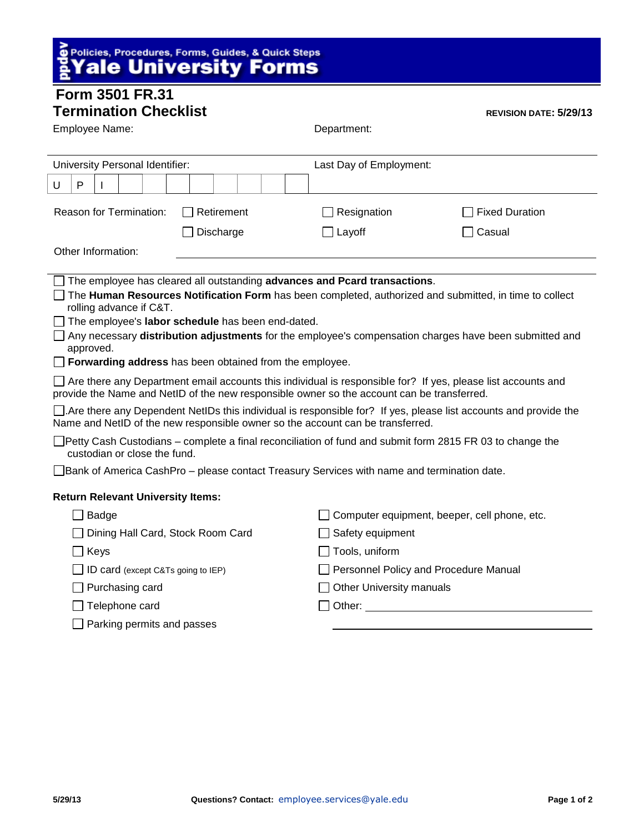## **S** Policies, Procedures, Forms, Guides, & Quick Steps<br>**AVale University Forms**

## **Form 3501 FR.31**

| <b>Termination Checklist</b><br><b>REVISION DATE: 5/29/13</b>                                                                                                                                              |                            |  |  |  |                                       |                         |                          |             |  |  |  |                       |  |  |  |  |  |  |
|------------------------------------------------------------------------------------------------------------------------------------------------------------------------------------------------------------|----------------------------|--|--|--|---------------------------------------|-------------------------|--------------------------|-------------|--|--|--|-----------------------|--|--|--|--|--|--|
| Employee Name:                                                                                                                                                                                             |                            |  |  |  |                                       |                         |                          | Department: |  |  |  |                       |  |  |  |  |  |  |
|                                                                                                                                                                                                            |                            |  |  |  |                                       |                         |                          |             |  |  |  |                       |  |  |  |  |  |  |
| University Personal Identifier:                                                                                                                                                                            |                            |  |  |  |                                       | Last Day of Employment: |                          |             |  |  |  |                       |  |  |  |  |  |  |
| U                                                                                                                                                                                                          | $\mathsf{P}$               |  |  |  |                                       |                         |                          |             |  |  |  |                       |  |  |  |  |  |  |
| Reason for Termination:<br>Retirement                                                                                                                                                                      |                            |  |  |  |                                       |                         |                          | Resignation |  |  |  | <b>Fixed Duration</b> |  |  |  |  |  |  |
| Discharge                                                                                                                                                                                                  |                            |  |  |  |                                       |                         | Layoff<br>Casual         |             |  |  |  |                       |  |  |  |  |  |  |
| Other Information:                                                                                                                                                                                         |                            |  |  |  |                                       |                         |                          |             |  |  |  |                       |  |  |  |  |  |  |
|                                                                                                                                                                                                            |                            |  |  |  |                                       |                         |                          |             |  |  |  |                       |  |  |  |  |  |  |
| The employee has cleared all outstanding advances and Pcard transactions.<br>The Human Resources Notification Form has been completed, authorized and submitted, in time to collect                        |                            |  |  |  |                                       |                         |                          |             |  |  |  |                       |  |  |  |  |  |  |
| rolling advance if C&T.<br>The employee's labor schedule has been end-dated.                                                                                                                               |                            |  |  |  |                                       |                         |                          |             |  |  |  |                       |  |  |  |  |  |  |
| Any necessary distribution adjustments for the employee's compensation charges have been submitted and<br>approved.                                                                                        |                            |  |  |  |                                       |                         |                          |             |  |  |  |                       |  |  |  |  |  |  |
| Forwarding address has been obtained from the employee.                                                                                                                                                    |                            |  |  |  |                                       |                         |                          |             |  |  |  |                       |  |  |  |  |  |  |
| Are there any Department email accounts this individual is responsible for? If yes, please list accounts and<br>provide the Name and NetID of the new responsible owner so the account can be transferred. |                            |  |  |  |                                       |                         |                          |             |  |  |  |                       |  |  |  |  |  |  |
| $\Box$ Are there any Dependent NetIDs this individual is responsible for? If yes, please list accounts and provide the<br>Name and NetID of the new responsible owner so the account can be transferred.   |                            |  |  |  |                                       |                         |                          |             |  |  |  |                       |  |  |  |  |  |  |
| □Petty Cash Custodians - complete a final reconciliation of fund and submit form 2815 FR 03 to change the<br>custodian or close the fund.                                                                  |                            |  |  |  |                                       |                         |                          |             |  |  |  |                       |  |  |  |  |  |  |
| □ Bank of America CashPro – please contact Treasury Services with name and termination date.                                                                                                               |                            |  |  |  |                                       |                         |                          |             |  |  |  |                       |  |  |  |  |  |  |
| <b>Return Relevant University Items:</b>                                                                                                                                                                   |                            |  |  |  |                                       |                         |                          |             |  |  |  |                       |  |  |  |  |  |  |
| Computer equipment, beeper, cell phone, etc.<br>Badge                                                                                                                                                      |                            |  |  |  |                                       |                         |                          |             |  |  |  |                       |  |  |  |  |  |  |
| Dining Hall Card, Stock Room Card                                                                                                                                                                          |                            |  |  |  |                                       | Safety equipment        |                          |             |  |  |  |                       |  |  |  |  |  |  |
| Keys                                                                                                                                                                                                       |                            |  |  |  | Tools, uniform                        |                         |                          |             |  |  |  |                       |  |  |  |  |  |  |
| ID card (except C&Ts going to IEP)                                                                                                                                                                         |                            |  |  |  | Personnel Policy and Procedure Manual |                         |                          |             |  |  |  |                       |  |  |  |  |  |  |
| Purchasing card                                                                                                                                                                                            |                            |  |  |  |                                       |                         | Other University manuals |             |  |  |  |                       |  |  |  |  |  |  |
| Telephone card                                                                                                                                                                                             |                            |  |  |  |                                       |                         |                          |             |  |  |  |                       |  |  |  |  |  |  |
|                                                                                                                                                                                                            | Parking permits and passes |  |  |  |                                       |                         |                          |             |  |  |  |                       |  |  |  |  |  |  |